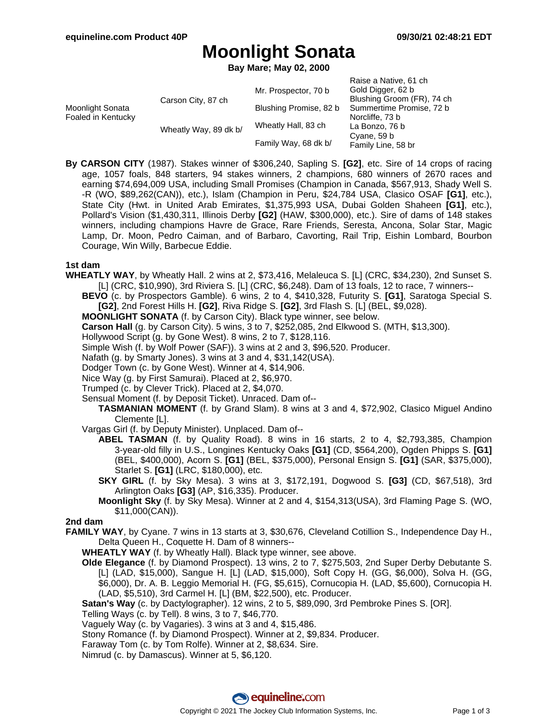Raise a Native, 61 ch

# **Moonlight Sonata**

**Bay Mare; May 02, 2000**

|                                        |                       |                        | Raise a Native, or ch      |
|----------------------------------------|-----------------------|------------------------|----------------------------|
| Moonlight Sonata<br>Foaled in Kentucky | Carson City, 87 ch    | Mr. Prospector, 70 b   | Gold Digger, 62 b          |
|                                        |                       |                        | Blushing Groom (FR), 74 ch |
|                                        |                       | Blushing Promise, 82 b | Summertime Promise, 72 b   |
|                                        | Wheatly Way, 89 dk b/ |                        | Norcliffe, 73 b            |
|                                        |                       | Wheatly Hall, 83 ch    | La Bonzo, 76 b             |
|                                        |                       |                        | Cyane, 59 b                |
|                                        |                       | Family Way, 68 dk b/   | Family Line, 58 br         |
|                                        |                       |                        |                            |

**By CARSON CITY** (1987). Stakes winner of \$306,240, Sapling S. **[G2]**, etc. Sire of 14 crops of racing age, 1057 foals, 848 starters, 94 stakes winners, 2 champions, 680 winners of 2670 races and earning \$74,694,009 USA, including Small Promises (Champion in Canada, \$567,913, Shady Well S. -R (WO, \$89,262(CAN)), etc.), Islam (Champion in Peru, \$24,784 USA, Clasico OSAF **[G1]**, etc.), State City (Hwt. in United Arab Emirates, \$1,375,993 USA, Dubai Golden Shaheen **[G1]**, etc.), Pollard's Vision (\$1,430,311, Illinois Derby **[G2]** (HAW, \$300,000), etc.). Sire of dams of 148 stakes winners, including champions Havre de Grace, Rare Friends, Seresta, Ancona, Solar Star, Magic Lamp, Dr. Moon, Pedro Caiman, and of Barbaro, Cavorting, Rail Trip, Eishin Lombard, Bourbon Courage, Win Willy, Barbecue Eddie.

### **1st dam**

- **WHEATLY WAY**, by Wheatly Hall. 2 wins at 2, \$73,416, Melaleuca S. [L] (CRC, \$34,230), 2nd Sunset S. [L] (CRC, \$10,990), 3rd Riviera S. [L] (CRC, \$6,248). Dam of 13 foals, 12 to race, 7 winners--
	- **BEVO** (c. by Prospectors Gamble). 6 wins, 2 to 4, \$410,328, Futurity S. **[G1]**, Saratoga Special S. **[G2]**, 2nd Forest Hills H. **[G2]**, Riva Ridge S. **[G2]**, 3rd Flash S. [L] (BEL, \$9,028).
	- **MOONLIGHT SONATA** (f. by Carson City). Black type winner, see below.
	- **Carson Hall** (g. by Carson City). 5 wins, 3 to 7, \$252,085, 2nd Elkwood S. (MTH, \$13,300).
	- Hollywood Script (g. by Gone West). 8 wins, 2 to 7, \$128,116.
	- Simple Wish (f. by Wolf Power (SAF)). 3 wins at 2 and 3, \$96,520. Producer.
	- Nafath (g. by Smarty Jones). 3 wins at 3 and 4, \$31,142(USA).
	- Dodger Town (c. by Gone West). Winner at 4, \$14,906.
	- Nice Way (g. by First Samurai). Placed at 2, \$6,970.
	- Trumped (c. by Clever Trick). Placed at 2, \$4,070.
	- Sensual Moment (f. by Deposit Ticket). Unraced. Dam of--
		- **TASMANIAN MOMENT** (f. by Grand Slam). 8 wins at 3 and 4, \$72,902, Clasico Miguel Andino Clemente [L].
	- Vargas Girl (f. by Deputy Minister). Unplaced. Dam of--
		- **ABEL TASMAN** (f. by Quality Road). 8 wins in 16 starts, 2 to 4, \$2,793,385, Champion 3-year-old filly in U.S., Longines Kentucky Oaks **[G1]** (CD, \$564,200), Ogden Phipps S. **[G1]** (BEL, \$400,000), Acorn S. **[G1]** (BEL, \$375,000), Personal Ensign S. **[G1]** (SAR, \$375,000), Starlet S. **[G1]** (LRC, \$180,000), etc.
		- **SKY GIRL** (f. by Sky Mesa). 3 wins at 3, \$172,191, Dogwood S. **[G3]** (CD, \$67,518), 3rd Arlington Oaks **[G3]** (AP, \$16,335). Producer.
		- **Moonlight Sky** (f. by Sky Mesa). Winner at 2 and 4, \$154,313(USA), 3rd Flaming Page S. (WO, \$11,000(CAN)).

#### **2nd dam**

- **FAMILY WAY**, by Cyane. 7 wins in 13 starts at 3, \$30,676, Cleveland Cotillion S., Independence Day H., Delta Queen H., Coquette H. Dam of 8 winners--
	- **WHEATLY WAY** (f. by Wheatly Hall). Black type winner, see above.
	- **Olde Elegance** (f. by Diamond Prospect). 13 wins, 2 to 7, \$275,503, 2nd Super Derby Debutante S. [L] (LAD, \$15,000), Sangue H. [L] (LAD, \$15,000), Soft Copy H. (GG, \$6,000), Solva H. (GG, \$6,000), Dr. A. B. Leggio Memorial H. (FG, \$5,615), Cornucopia H. (LAD, \$5,600), Cornucopia H. (LAD, \$5,510), 3rd Carmel H. [L] (BM, \$22,500), etc. Producer.

**Satan's Way** (c. by Dactylographer). 12 wins, 2 to 5, \$89,090, 3rd Pembroke Pines S. [OR].

- Telling Ways (c. by Tell). 8 wins, 3 to 7, \$46,770.
- Vaguely Way (c. by Vagaries). 3 wins at 3 and 4, \$15,486.
- Stony Romance (f. by Diamond Prospect). Winner at 2, \$9,834. Producer.
- Faraway Tom (c. by Tom Rolfe). Winner at 2, \$8,634. Sire.
- Nimrud (c. by Damascus). Winner at 5, \$6,120.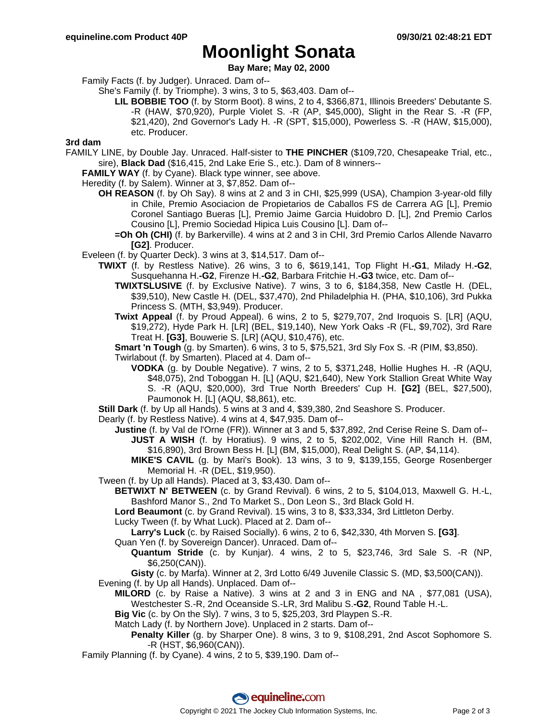## **Moonlight Sonata**

**Bay Mare; May 02, 2000**

Family Facts (f. by Judger). Unraced. Dam of--

She's Family (f. by Triomphe). 3 wins, 3 to 5, \$63,403. Dam of--

**LIL BOBBIE TOO** (f. by Storm Boot). 8 wins, 2 to 4, \$366,871, Illinois Breeders' Debutante S. -R (HAW, \$70,920), Purple Violet S. -R (AP, \$45,000), Slight in the Rear S. -R (FP, \$21,420), 2nd Governor's Lady H. -R (SPT, \$15,000), Powerless S. -R (HAW, \$15,000), etc. Producer.

#### **3rd dam**

FAMILY LINE, by Double Jay. Unraced. Half-sister to **THE PINCHER** (\$109,720, Chesapeake Trial, etc., sire), **Black Dad** (\$16,415, 2nd Lake Erie S., etc.). Dam of 8 winners--

**FAMILY WAY** (f. by Cyane). Black type winner, see above.

Heredity (f. by Salem). Winner at 3, \$7,852. Dam of--

- **OH REASON** (f. by Oh Say). 8 wins at 2 and 3 in CHI, \$25,999 (USA), Champion 3-year-old filly in Chile, Premio Asociacion de Propietarios de Caballos FS de Carrera AG [L], Premio Coronel Santiago Bueras [L], Premio Jaime Garcia Huidobro D. [L], 2nd Premio Carlos Cousino [L], Premio Sociedad Hipica Luis Cousino [L]. Dam of--
	- **=Oh Oh (CHI)** (f. by Barkerville). 4 wins at 2 and 3 in CHI, 3rd Premio Carlos Allende Navarro **[G2]**. Producer.
- Eveleen (f. by Quarter Deck). 3 wins at 3, \$14,517. Dam of--
	- **TWIXT** (f. by Restless Native). 26 wins, 3 to 6, \$619,141, Top Flight H.**-G1**, Milady H.**-G2**, Susquehanna H.**-G2**, Firenze H.**-G2**, Barbara Fritchie H.**-G3** twice, etc. Dam of--
		- **TWIXTSLUSIVE** (f. by Exclusive Native). 7 wins, 3 to 6, \$184,358, New Castle H. (DEL, \$39,510), New Castle H. (DEL, \$37,470), 2nd Philadelphia H. (PHA, \$10,106), 3rd Pukka Princess S. (MTH, \$3,949). Producer.
		- **Twixt Appeal** (f. by Proud Appeal). 6 wins, 2 to 5, \$279,707, 2nd Iroquois S. [LR] (AQU, \$19,272), Hyde Park H. [LR] (BEL, \$19,140), New York Oaks -R (FL, \$9,702), 3rd Rare Treat H. **[G3]**, Bouwerie S. [LR] (AQU, \$10,476), etc.
		- **Smart 'n Tough** (g. by Smarten). 6 wins, 3 to 5, \$75,521, 3rd Sly Fox S. -R (PIM, \$3,850).

Twirlabout (f. by Smarten). Placed at 4. Dam of--

- **VODKA** (g. by Double Negative). 7 wins, 2 to 5, \$371,248, Hollie Hughes H. -R (AQU, \$48,075), 2nd Toboggan H. [L] (AQU, \$21,640), New York Stallion Great White Way S. -R (AQU, \$20,000), 3rd True North Breeders' Cup H. **[G2]** (BEL, \$27,500), Paumonok H. [L] (AQU, \$8,861), etc.
- **Still Dark** (f. by Up all Hands). 5 wins at 3 and 4, \$39,380, 2nd Seashore S. Producer.
- Dearly (f. by Restless Native). 4 wins at 4, \$47,935. Dam of--
	- **Justine** (f. by Val de l'Orne (FR)). Winner at 3 and 5, \$37,892, 2nd Cerise Reine S. Dam of-- **JUST A WISH** (f. by Horatius). 9 wins, 2 to 5, \$202,002, Vine Hill Ranch H. (BM, \$16,890), 3rd Brown Bess H. [L] (BM, \$15,000), Real Delight S. (AP, \$4,114).
		- **MIKE'S CAVIL** (g. by Mari's Book). 13 wins, 3 to 9, \$139,155, George Rosenberger Memorial H. -R (DEL, \$19,950).
- Tween (f. by Up all Hands). Placed at 3, \$3,430. Dam of--
	- **BETWIXT N' BETWEEN** (c. by Grand Revival). 6 wins, 2 to 5, \$104,013, Maxwell G. H.-L, Bashford Manor S., 2nd To Market S., Don Leon S., 3rd Black Gold H.

**Lord Beaumont** (c. by Grand Revival). 15 wins, 3 to 8, \$33,334, 3rd Littleton Derby.

Lucky Tween (f. by What Luck). Placed at 2. Dam of--

**Larry's Luck** (c. by Raised Socially). 6 wins, 2 to 6, \$42,330, 4th Morven S. **[G3]**.

Quan Yen (f. by Sovereign Dancer). Unraced. Dam of--

**Quantum Stride** (c. by Kunjar). 4 wins, 2 to 5, \$23,746, 3rd Sale S. -R (NP, \$6,250(CAN)).

**Gisty** (c. by Marfa). Winner at 2, 3rd Lotto 6/49 Juvenile Classic S. (MD, \$3,500(CAN)). Evening (f. by Up all Hands). Unplaced. Dam of--

- **MILORD** (c. by Raise a Native). 3 wins at 2 and 3 in ENG and NA , \$77,081 (USA), Westchester S.-R, 2nd Oceanside S.-LR, 3rd Malibu S.**-G2**, Round Table H.-L.
- **Big Vic** (c. by On the Sly). 7 wins, 3 to 5, \$25,203, 3rd Playpen S.-R.
- Match Lady (f. by Northern Jove). Unplaced in 2 starts. Dam of--
	- **Penalty Killer** (g. by Sharper One). 8 wins, 3 to 9, \$108,291, 2nd Ascot Sophomore S. -R (HST, \$6,960(CAN)).
- Family Planning (f. by Cyane). 4 wins, 2 to 5, \$39,190. Dam of--